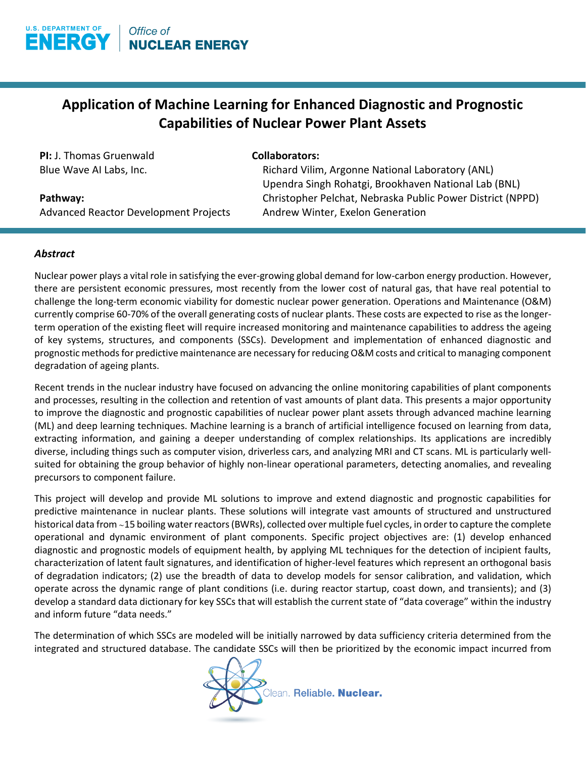

## **Application of Machine Learning for Enhanced Diagnostic and Prognostic Capabilities of Nuclear Power Plant Assets**

**PI:** J. Thomas Gruenwald Blue Wave AI Labs, Inc.

## **Collaborators:**

Richard Vilim, Argonne National Laboratory (ANL) Upendra Singh Rohatgi, Brookhaven National Lab (BNL) Christopher Pelchat, Nebraska Public Power District (NPPD) Andrew Winter, Exelon Generation

**Pathway:** 

Advanced Reactor Development Projects

## *Abstract*

Nuclear power plays a vital role in satisfying the ever-growing global demand for low-carbon energy production. However, there are persistent economic pressures, most recently from the lower cost of natural gas, that have real potential to challenge the long-term economic viability for domestic nuclear power generation. Operations and Maintenance (O&M) currently comprise 60-70% of the overall generating costs of nuclear plants. These costs are expected to rise as the longerterm operation of the existing fleet will require increased monitoring and maintenance capabilities to address the ageing of key systems, structures, and components (SSCs). Development and implementation of enhanced diagnostic and prognostic methods for predictive maintenance are necessary for reducing O&M costs and critical to managing component degradation of ageing plants.

Recent trends in the nuclear industry have focused on advancing the online monitoring capabilities of plant components and processes, resulting in the collection and retention of vast amounts of plant data. This presents a major opportunity to improve the diagnostic and prognostic capabilities of nuclear power plant assets through advanced machine learning (ML) and deep learning techniques. Machine learning is a branch of artificial intelligence focused on learning from data, extracting information, and gaining a deeper understanding of complex relationships. Its applications are incredibly diverse, including things such as computer vision, driverless cars, and analyzing MRI and CT scans. ML is particularly wellsuited for obtaining the group behavior of highly non-linear operational parameters, detecting anomalies, and revealing precursors to component failure.

This project will develop and provide ML solutions to improve and extend diagnostic and prognostic capabilities for predictive maintenance in nuclear plants. These solutions will integrate vast amounts of structured and unstructured historical data from ∼15 boiling water reactors (BWRs), collected over multiple fuel cycles, in order to capture the complete operational and dynamic environment of plant components. Specific project objectives are: (1) develop enhanced diagnostic and prognostic models of equipment health, by applying ML techniques for the detection of incipient faults, characterization of latent fault signatures, and identification of higher-level features which represent an orthogonal basis of degradation indicators; (2) use the breadth of data to develop models for sensor calibration, and validation, which operate across the dynamic range of plant conditions (i.e. during reactor startup, coast down, and transients); and (3) develop a standard data dictionary for key SSCs that will establish the current state of "data coverage" within the industry and inform future "data needs."

The determination of which SSCs are modeled will be initially narrowed by data sufficiency criteria determined from the integrated and structured database. The candidate SSCs will then be prioritized by the economic impact incurred from